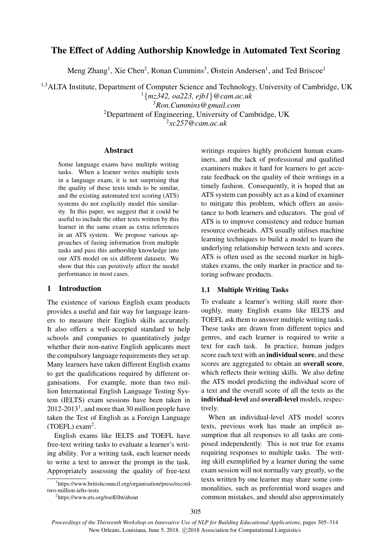# The Effect of Adding Authorship Knowledge in Automated Text Scoring

Meng Zhang<sup>1</sup>, Xie Chen<sup>2</sup>, Ronan Cummins<sup>3</sup>, Øistein Andersen<sup>1</sup>, and Ted Briscoe<sup>1</sup>

<sup>1,3</sup>ALTA Institute, Department of Computer Science and Technology, University of Cambridge, UK {*mz342, oa223, ejb1*}*@cam.ac.uk Ron.Cummins@gmail.com* Department of Engineering, University of Cambridge, UK

2 *xc257@cam.ac.uk*

## Abstract

Some language exams have multiple writing tasks. When a learner writes multiple texts in a language exam, it is not surprising that the quality of these texts tends to be similar, and the existing automated text scoring (ATS) systems do not explicitly model this similarity. In this paper, we suggest that it could be useful to include the other texts written by this learner in the same exam as extra references in an ATS system. We propose various approaches of fusing information from multiple tasks and pass this authorship knowledge into our ATS model on six different datasets. We show that this can positively affect the model performance in most cases.

## 1 Introduction

The existence of various English exam products provides a useful and fair way for language learners to measure their English skills accurately. It also offers a well-accepted standard to help schools and companies to quantitatively judge whether their non-native English applicants meet the compulsory language requirements they set up. Many learners have taken different English exams to get the qualifications required by different organisations. For example, more than two million International English Language Testing System (IELTS) exam sessions have been taken in  $2012-2013<sup>1</sup>$ , and more than 30 million people have taken the Test of English as a Foreign Language (TOEFL) exam<sup>2</sup>.

English exams like IELTS and TOEFL have free-text writing tasks to evaluate a learner's writing ability. For a writing task, each learner needs to write a text to answer the prompt in the task. Appropriately assessing the quality of free-text

writings requires highly proficient human examiners, and the lack of professional and qualified examiners makes it hard for learners to get accurate feedback on the quality of their writings in a timely fashion. Consequently, it is hoped that an ATS system can possibly act as a kind of examiner to mitigate this problem, which offers an assistance to both learners and educators. The goal of ATS is to improve consistency and reduce human resource overheads. ATS usually utilises machine learning techniques to build a model to learn the underlying relationship between texts and scores. ATS is often used as the second marker in highstakes exams, the only marker in practice and tutoring software products.

## 1.1 Multiple Writing Tasks

To evaluate a learner's writing skill more thoroughly, many English exams like IELTS and TOEFL ask them to answer multiple writing tasks. These tasks are drawn from different topics and genres, and each learner is required to write a text for each task. In practice, human judges score each text with an individual score, and these scores are aggregated to obtain an overall score, which reflects their writing skills. We also define the ATS model predicting the individual score of a text and the overall score of all the texts as the individual-level and overall-level models, respectively.

When an individual-level ATS model scores texts, previous work has made an implicit assumption that all responses to all tasks are composed independently. This is not true for exams requiring responses to multiple tasks. The writing skill exemplified by a learner during the same exam session will not normally vary greatly, so the texts written by one learner may share some commonalities, such as preferential word usages and common mistakes, and should also approximately

<sup>1</sup> https://www.britishcouncil.org/organisation/press/recordtwo-million-ielts-tests

<sup>2</sup> https://www.ets.org/toefl/ibt/about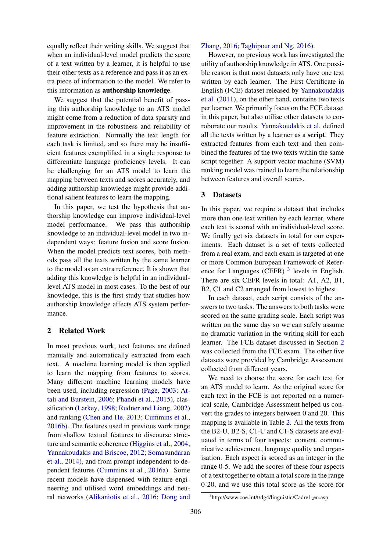equally reflect their writing skills. We suggest that when an individual-level model predicts the score of a text written by a learner, it is helpful to use their other texts as a reference and pass it as an extra piece of information to the model. We refer to this information as authorship knowledge.

We suggest that the potential benefit of passing this authorship knowledge to an ATS model might come from a reduction of data sparsity and improvement in the robustness and reliability of feature extraction. Normally the text length for each task is limited, and so there may be insufficient features exemplified in a single response to differentiate language proficiency levels. It can be challenging for an ATS model to learn the mapping between texts and scores accurately, and adding authorship knowledge might provide additional salient features to learn the mapping.

In this paper, we test the hypothesis that authorship knowledge can improve individual-level model performance. We pass this authorship knowledge to an individual-level model in two independent ways: feature fusion and score fusion. When the model predicts text scores, both methods pass all the texts written by the same learner to the model as an extra reference. It is shown that adding this knowledge is helpful in an individuallevel ATS model in most cases. To the best of our knowledge, this is the first study that studies how authorship knowledge affects ATS system performance.

## 2 Related Work

In most previous work, text features are defined manually and automatically extracted from each text. A machine learning model is then applied to learn the mapping from features to scores. Many different machine learning models have been used, including regression (Page, 2003; Attali and Burstein, 2006; Phandi et al., 2015), classification (Larkey, 1998; Rudner and Liang, 2002) and ranking (Chen and He, 2013; Cummins et al., 2016b). The features used in previous work range from shallow textual features to discourse structure and semantic coherence (Higgins et al., 2004; Yannakoudakis and Briscoe, 2012; Somasundaran et al., 2014), and from prompt independent to dependent features (Cummins et al., 2016a). Some recent models have dispensed with feature engineering and utilised word embeddings and neural networks (Alikaniotis et al., 2016; Dong and

## Zhang, 2016; Taghipour and Ng, 2016).

However, no previous work has investigated the utility of authorship knowledge in ATS. One possible reason is that most datasets only have one text written by each learner. The First Certificate in English (FCE) dataset released by Yannakoudakis et al. (2011), on the other hand, contains two texts per learner. We primarily focus on the FCE dataset in this paper, but also utilise other datasets to corroborate our results. Yannakoudakis et al. defined all the texts written by a learner as a script. They extracted features from each text and then combined the features of the two texts within the same script together. A support vector machine (SVM) ranking model was trained to learn the relationship between features and overall scores.

## 3 Datasets

In this paper, we require a dataset that includes more than one text written by each learner, where each text is scored with an individual-level score. We finally get six datasets in total for our experiments. Each dataset is a set of texts collected from a real exam, and each exam is targeted at one or more Common European Framework of Reference for Languages (CEFR)  $3$  levels in English. There are six CEFR levels in total: A1, A2, B1, B2, C1 and C2 arranged from lowest to highest.

In each dataset, each script consists of the answers to two tasks. The answers to both tasks were scored on the same grading scale. Each script was written on the same day so we can safely assume no dramatic variation in the writing skill for each learner. The FCE dataset discussed in Section 2 was collected from the FCE exam. The other five datasets were provided by Cambridge Assessment collected from different years.

We need to choose the score for each text for an ATS model to learn. As the original score for each text in the FCE is not reported on a numerical scale, Cambridge Assessment helped us convert the grades to integers between 0 and 20. This mapping is available in Table 2. All the texts from the B2-U, B2-S, C1-U and C1-S datasets are evaluated in terms of four aspects: content, communicative achievement, language quality and organisation. Each aspect is scored as an integer in the range 0-5. We add the scores of these four aspects of a text together to obtain a total score in the range 0-20, and we use this total score as the score for

<sup>&</sup>lt;sup>3</sup>http://www.coe.int/t/dg4/linguistic/Cadre1\_en.asp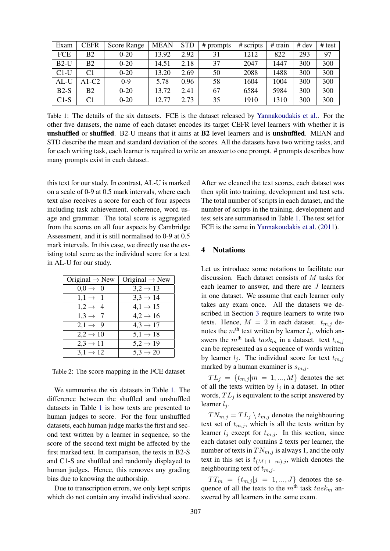| Exam       | <b>CEFR</b>    | Score Range | <b>MEAN</b> | <b>STD</b> | # prompts | # scripts | # train | $#$ dev | # test |
|------------|----------------|-------------|-------------|------------|-----------|-----------|---------|---------|--------|
| <b>FCE</b> | B <sub>2</sub> | $0-20$      | 13.92       | 2.92       | 31        | 1212      | 822     | 293     | 97     |
| $B2-U$     | <b>B2</b>      | $0-20$      | 14.51       | 2.18       | 37        | 2047      | 1447    | 300     | 300    |
| $C1-U$     | C1             | $0 - 20$    | 13.20       | 2.69       | 50        | 2088      | 1488    | 300     | 300    |
| $AL-U$     | $A1-C2$        | $0-9$       | 5.78        | 0.96       | 58        | 1604      | 1004    | 300     | 300    |
| $B2-S$     | <b>B2</b>      | $0 - 20$    | 13.72       | 2.41       | 67        | 6584      | 5984    | 300     | 300    |
| $C1-S$     | C1             | $0 - 20$    | 12.77       | 2.73       | 35        | 1910      | 1310    | 300     | 300    |

Table 1: The details of the six datasets. FCE is the dataset released by Yannakoudakis et al.. For the other five datasets, the name of each dataset encodes its target CEFR level learners with whether it is unshuffled or shuffled. B2-U means that it aims at B2 level learners and is unshuffled. MEAN and STD describe the mean and standard deviation of the scores. All the datasets have two writing tasks, and for each writing task, each learner is required to write an answer to one prompt. # prompts describes how many prompts exist in each dataset.

this text for our study. In contrast, AL-U is marked on a scale of 0-9 at 0.5 mark intervals, where each text also receives a score for each of four aspects including task achievement, coherence, word usage and grammar. The total score is aggregated from the scores on all four aspects by Cambridge Assessment, and it is still normalised to 0-9 at 0.5 mark intervals. In this case, we directly use the existing total score as the individual score for a text in AL-U for our study.

| Original $\rightarrow$ New | Original $\rightarrow$ New |
|----------------------------|----------------------------|
| $0,0 \rightarrow 0$        | $3,2 \rightarrow 13$       |
| $1,1 \rightarrow 1$        | $3,3 \rightarrow 14$       |
| $1,2 \rightarrow 4$        | $4,1 \rightarrow 15$       |
| $1,3 \rightarrow 7$        | $4,2 \rightarrow 16$       |
| $2,1 \rightarrow 9$        | $4,3 \rightarrow 17$       |
| $2,2 \rightarrow 10$       | $5,1 \rightarrow 18$       |
| $2,3 \rightarrow 11$       | $5,2 \rightarrow 19$       |
| $3,1 \rightarrow 12$       | $5,3 \to 20$               |

Table 2: The score mapping in the FCE dataset

We summarise the six datasets in Table 1. The difference between the shuffled and unshuffled datasets in Table 1 is how texts are presented to human judges to score. For the four unshuffled datasets, each human judge marks the first and second text written by a learner in sequence, so the score of the second text might be affected by the first marked text. In comparison, the texts in B2-S and C1-S are shuffled and randomly displayed to human judges. Hence, this removes any grading bias due to knowing the authorship.

Due to transcription errors, we only kept scripts which do not contain any invalid individual score.

After we cleaned the text scores, each dataset was then split into training, development and test sets. The total number of scripts in each dataset, and the number of scripts in the training, development and test sets are summarised in Table 1. The test set for FCE is the same in Yannakoudakis et al. (2011).

## 4 Notations

Let us introduce some notations to facilitate our discussion. Each dataset consists of M tasks for each learner to answer, and there are J learners in one dataset. We assume that each learner only takes any exam once. All the datasets we described in Section 3 require learners to write two texts. Hence,  $M = 2$  in each dataset.  $t_{m,j}$  denotes the  $m<sup>th</sup>$  text written by learner  $l_i$ , which answers the m<sup>th</sup> task task<sub>m</sub> in a dataset. text  $t_{m,i}$ can be represented as a sequence of words written by learner  $l_i$ . The individual score for text  $t_{m,j}$ marked by a human examiner is  $s_{m,j}$ .

 $TL_j = \{t_{m,j} | m = 1, ..., M\}$  denotes the set of all the texts written by  $l_i$  in a dataset. In other words,  $TL<sub>j</sub>$  is equivalent to the script answered by learner  $l_i$ .

 $TN_{m,j} = TL_j \setminus t_{m,j}$  denotes the neighbouring text set of  $t_{m,j}$ , which is all the texts written by learner  $l_i$  except for  $t_{m,i}$ . In this section, since each dataset only contains 2 texts per learner, the number of texts in  $TN_{m,j}$  is always 1, and the only text in this set is  $t_{(M+1-m),j}$ , which denotes the neighbouring text of  $t_{m,j}$ .

 $TT_m = \{t_{m,j} | j = 1, ..., J\}$  denotes the sequence of all the texts to the  $m^{\text{th}}$  task  $task_m$  answered by all learners in the same exam.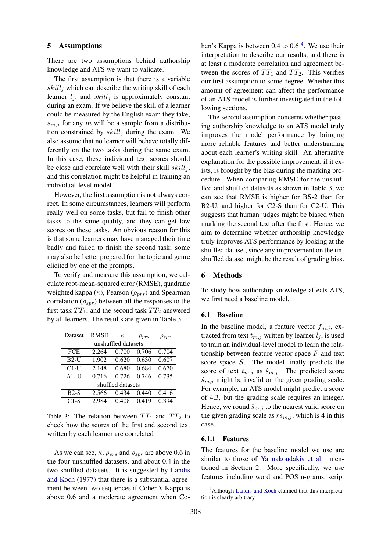#### 5 Assumptions

There are two assumptions behind authorship knowledge and ATS we want to validate.

The first assumption is that there is a variable  $skill<sub>j</sub>$  which can describe the writing skill of each learner  $l_i$ , and  $skill_i$  is approximately constant during an exam. If we believe the skill of a learner could be measured by the English exam they take,  $s_{m,j}$  for any m will be a sample from a distribution constrained by  $skill<sub>j</sub>$  during the exam. We also assume that no learner will behave totally differently on the two tasks during the same exam. In this case, these individual text scores should be close and correlate well with their skill  $\delta \kappa i l l_j$ , and this correlation might be helpful in training an individual-level model.

However, the first assumption is not always correct. In some circumstances, learners will perform really well on some tasks, but fail to finish other tasks to the same quality, and they can get low scores on these tasks. An obvious reason for this is that some learners may have managed their time badly and failed to finish the second task; some may also be better prepared for the topic and genre elicited by one of the prompts.

To verify and measure this assumption, we calculate root-mean-squared error (RMSE), quadratic weighted kappa  $(\kappa)$ , Pearson  $(\rho_{prs})$  and Spearman correlation  $(\rho_{spr})$  between all the responses to the first task  $TT_1$ , and the second task  $TT_2$  answered by all learners. The results are given in Table 3.

| Dataset             | <b>RMSE</b> |       | $\rho_{prs}$ | $\rho_{spr}$       |  |  |  |  |  |
|---------------------|-------------|-------|--------------|--------------------|--|--|--|--|--|
| unshuffled datasets |             |       |              |                    |  |  |  |  |  |
| <b>FCE</b>          | 2.264       | 0.700 | 0.706        | 0.704              |  |  |  |  |  |
| $B2-U$              | 1.902       | 0.620 | 0.630        | 0.607              |  |  |  |  |  |
| $C1-U$              | 2.148       | 0.680 | 0.684        | 0.670              |  |  |  |  |  |
| $AL-U$              | 0.716       | 0.726 | 0.746        | $\overline{0.735}$ |  |  |  |  |  |
| shuffled datasets   |             |       |              |                    |  |  |  |  |  |
| $B2-S$              | 2.566       | 0.434 | 0.440        | 0.416              |  |  |  |  |  |
| $C1-S$              | 2.984       | 0.408 | 0.419        | 0.394              |  |  |  |  |  |

Table 3: The relation between  $TT_1$  and  $TT_2$  to check how the scores of the first and second text written by each learner are correlated

As we can see,  $\kappa$ ,  $\rho_{prs}$  and  $\rho_{spr}$  are above 0.6 in the four unshuffled datasets, and about 0.4 in the two shuffled datasets. It is suggested by Landis and Koch (1977) that there is a substantial agreement between two sequences if Cohen's Kappa is above 0.6 and a moderate agreement when Cohen's Kappa is between  $0.4$  to  $0.6<sup>4</sup>$ . We use their interpretation to describe our results, and there is at least a moderate correlation and agreement between the scores of  $TT_1$  and  $TT_2$ . This verifies our first assumption to some degree. Whether this amount of agreement can affect the performance of an ATS model is further investigated in the following sections.

The second assumption concerns whether passing authorship knowledge to an ATS model truly improves the model performance by bringing more reliable features and better understanding about each learner's writing skill. An alternative explanation for the possible improvement, if it exists, is brought by the bias during the marking procedure. When comparing RMSE for the unshuffled and shuffled datasets as shown in Table 3, we can see that RMSE is higher for BS-2 than for B2-U, and higher for C2-S than for C2-U. This suggests that human judges might be biased when marking the second text after the first. Hence, we aim to determine whether authorship knowledge truly improves ATS performance by looking at the shuffled dataset, since any improvement on the unshuffled dataset might be the result of grading bias.

#### 6 Methods

To study how authorship knowledge affects ATS, we first need a baseline model.

## 6.1 Baseline

In the baseline model, a feature vector  $f_{m,j}$ , extracted from text  $t_{m,j}$  written by learner  $l_j$ , is used to train an individual-level model to learn the relationship between feature vector space  $F$  and text score space S. The model finally predicts the score of text  $t_{m,j}$  as  $\hat{s}_{m,j}$ . The predicted score  $\hat{s}_{m,j}$  might be invalid on the given grading scale. For example, an ATS model might predict a score of 4.3, but the grading scale requires an integer. Hence, we round  $\hat{s}_{m,j}$  to the nearest valid score on the given grading scale as  $\hat{r} s_{m,j}$ , which is 4 in this case.

## 6.1.1 Features

The features for the baseline model we use are similar to those of Yannakoudakis et al. mentioned in Section 2. More specifically, we use features including word and POS n-grams, script

<sup>4</sup>Although Landis and Koch claimed that this interpretation is clearly arbitrary.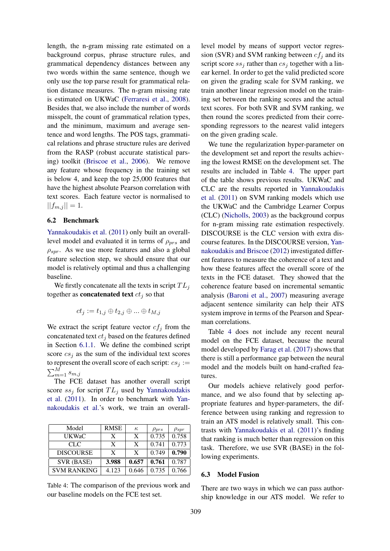length, the n-gram missing rate estimated on a background corpus, phrase structure rules, and grammatical dependency distances between any two words within the same sentence, though we only use the top parse result for grammatical relation distance measures. The n-gram missing rate is estimated on UKWaC (Ferraresi et al., 2008). Besides that, we also include the number of words misspelt, the count of grammatical relation types, and the minimum, maximum and average sentence and word lengths. The POS tags, grammatical relations and phrase structure rules are derived from the RASP (robust accurate statistical parsing) toolkit (Briscoe et al., 2006). We remove any feature whose frequency in the training set is below 4, and keep the top 25,000 features that have the highest absolute Pearson correlation with text scores. Each feature vector is normalised to  $||f_{m,j}|| = 1.$ 

#### 6.2 Benchmark

Yannakoudakis et al. (2011) only built an overalllevel model and evaluated it in terms of  $\rho_{prs}$  and  $\rho_{spr}$ . As we use more features and also a global feature selection step, we should ensure that our model is relatively optimal and thus a challenging baseline.

We firstly concatenate all the texts in script  $TL_i$ together as **concatenated text**  $ct<sub>j</sub>$  so that

$$
ct_j:=t_{1,j}\oplus t_{2,j}\oplus\ldots\oplus t_{M,j}
$$

We extract the script feature vector  $cf<sub>j</sub>$  from the concatenated text  $ct_i$  based on the features defined in Section 6.1.1. We define the combined script score  $cs<sub>j</sub>$  as the sum of the individual text scores to represent the overall score of each script:  $cs_i :=$  $\sum_{m=1}^{M} s_{m,j}$ 

The FCE dataset has another overall script score  $ss_i$  for script  $TL_i$  used by Yannakoudakis et al. (2011). In order to benchmark with Yannakoudakis et al.'s work, we train an overall-

| Model              | <b>RMSE</b> | $\kappa$ | $\rho_{prs}$ | $\rho_{spr}$ |
|--------------------|-------------|----------|--------------|--------------|
| UKWaC              | X           | X        | 0.735        | 0.758        |
| CLC                | X           | X        | 0.741        | 0.773        |
| <b>DISCOURSE</b>   | X           | X        | 0.749        | 0.790        |
| SVR (BASE)         | 3.988       | 0.657    | 0.761        | 0.787        |
| <b>SVM RANKING</b> | 4.123       | 0.646    | 0.735        | 0.766        |

Table 4: The comparison of the previous work and our baseline models on the FCE test set.

level model by means of support vector regression (SVR) and SVM ranking between  $cf<sub>i</sub>$  and its script score  $ss_i$  rather than  $cs_i$  together with a linear kernel. In order to get the valid predicted score on given the grading scale for SVM ranking, we train another linear regression model on the training set between the ranking scores and the actual text scores. For both SVR and SVM ranking, we then round the scores predicted from their corresponding regressors to the nearest valid integers on the given grading scale.

We tune the regularization hyper-parameter on the development set and report the results achieving the lowest RMSE on the development set. The results are included in Table 4. The upper part of the table shows previous results. UKWaC and CLC are the results reported in Yannakoudakis et al. (2011) on SVM ranking models which use the UKWaC and the Cambridge Learner Corpus (CLC) (Nicholls, 2003) as the background corpus for n-gram missing rate estimation respectively. DISCOURSE is the CLC version with extra discourse features. In the DISCOURSE version, Yannakoudakis and Briscoe (2012) investigated different features to measure the coherence of a text and how these features affect the overall score of the texts in the FCE dataset. They showed that the coherence feature based on incremental semantic analysis (Baroni et al., 2007) measuring average adjacent sentence similarity can help their ATS system improve in terms of the Pearson and Spearman correlations.

Table 4 does not include any recent neural model on the FCE dataset, because the neural model developed by Farag et al. (2017) shows that there is still a performance gap between the neural model and the models built on hand-crafted features.

Our models achieve relatively good performance, and we also found that by selecting appropriate features and hyper-parameters, the difference between using ranking and regression to train an ATS model is relatively small. This contrasts with Yannakoudakis et al. (2011)'s finding that ranking is much better than regression on this task. Therefore, we use SVR (BASE) in the following experiments.

#### 6.3 Model Fusion

There are two ways in which we can pass authorship knowledge in our ATS model. We refer to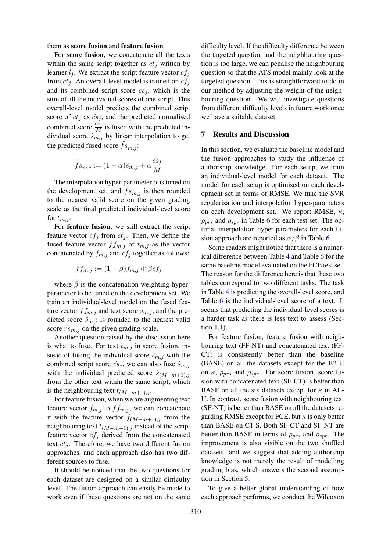#### them as score fusion and feature fusion.

For score fusion, we concatenate all the texts within the same script together as  $ct_j$  written by learner  $l_j$ . We extract the script feature vector  $cf_j$ from  $ct_i$ . An overall-level model is trained on  $cf_i$ and its combined script score  $cs_i$ , which is the sum of all the individual scores of one script. This overall-level model predicts the combined script score of  $ct_j$  as  $\hat{cs}_j$ , and the predicted normalised combined score  $\frac{\hat{c}s_j}{M}$  is fused with the predicted individual score  $\hat{s}_{m,j}$  by linear interpolation to get the predicted fused score  $fs_{m,i}$ :

$$
\hat{f}s_{m,j}:=(1-\alpha)\hat{s}_{m,j}+\alpha\frac{\hat{c}s_j}{M}
$$

The interpolation hyper-parameter  $\alpha$  is tuned on the development set, and  $\hat{f}_{s_{m,j}}$  is then rounded to the nearest valid score on the given grading scale as the final predicted individual-level score for  $t_{m,j}$ .

For feature fusion, we still extract the script feature vector  $cf<sub>j</sub>$  from  $ct<sub>j</sub>$ . Then, we define the fused feature vector  $f_{m,j}$  of  $t_{m,j}$  as the vector concatenated by  $f_{m,j}$  and  $cf_j$  together as follows:

$$
ff_{m,j} := (1 - \beta)f_{m,j} \oplus \beta cf_j
$$

where  $\beta$  is the concatenation weighting hyperparameter to be tuned on the development set. We train an individual-level model on the fused feature vector  $ff_{m,i}$  and text score  $s_{m,i}$ , and the predicted score  $\hat{s}_{m,j}$  is rounded to the nearest valid score  $\hat{r} s_{m,j}$  on the given grading scale.

Another question raised by the discussion here is what to fuse. For text  $t_{m,j}$  in score fusion, instead of fusing the individual score  $\hat{s}_{m,j}$  with the combined script score  $\hat{c}s_j$ , we can also fuse  $\hat{s}_{m,j}$ with the individual predicted score  $\hat{s}_{(M-m+1),j}$ from the other text within the same script, which is the neighbouring text  $t_{(M-m+1),j}$ .

For feature fusion, when we are augmenting text feature vector  $f_{m,j}$  to  $f_{m,j}$ , we can concatenate it with the feature vector  $f_{(M-m+1),j}$  from the neighbouring text  $t_{(M-m+1),j}$  instead of the script feature vector  $cf<sub>j</sub>$  derived from the concatenated text  $ct_i$ . Therefore, we have two different fusion approaches, and each approach also has two different sources to fuse.

It should be noticed that the two questions for each dataset are designed on a similar difficulty level. The fusion approach can easily be made to work even if these questions are not on the same

difficulty level. If the difficulty difference between the targeted question and the neighbouring question is too large, we can penalise the neighbouring question so that the ATS model mainly look at the targeted question. This is straightforward to do in our method by adjusting the weight of the neighbouring question. We will investigate questions from different difficulty levels in future work once we have a suitable dataset.

# 7 Results and Discussion

In this section, we evaluate the baseline model and the fusion approaches to study the influence of authorship knowledge. For each setup, we train an individual-level model for each dataset. The model for each setup is optimised on each development set in terms of RMSE. We tune the SVR regularisation and interpolation hyper-parameters on each development set. We report RMSE,  $\kappa$ ,  $\rho_{prs}$  and  $\rho_{spr}$  in Table 6 for each test set. The optimal interpolation hyper-parameters for each fusion approach are reported as  $\alpha/\beta$  in Table 6.

Some readers might notice that there is a numerical difference between Table 4 and Table 6 for the same baseline model evaluated on the FCE test set. The reason for the difference here is that these two tables correspond to two different tasks. The task in Table 4 is predicting the overall-level score, and Table 6 is the individual-level score of a text. It seems that predicting the individual-level scores is a harder task as there is less text to assess (Section 1.1).

For feature fusion, feature fusion with neighbouring text (FF-NT) and concatenated text (FF-CT) is consistently better than the baseline (BASE) on all the datasets except for the B2-U on  $\kappa$ ,  $\rho_{prs}$  and  $\rho_{spr}$ . For score fusion, score fusion with concatenated text (SF-CT) is better than BASE on all the six datasets except for  $\kappa$  in AL-U. In contrast, score fusion with neighbouring text (SF-NT) is better than BASE on all the datasets regarding RMSE except for FCE, but  $\kappa$  is only better than BASE on C1-S. Both SF-CT and SF-NT are better than BASE in terms of  $\rho_{nrs}$  and  $\rho_{spr}$ . The improvement is also visible on the two shuffled datasets, and we suggest that adding authorship knowledge is not merely the result of modelling grading bias, which answers the second assumption in Section 5.

To give a better global understanding of how each approach performs, we conduct the Wilcoxon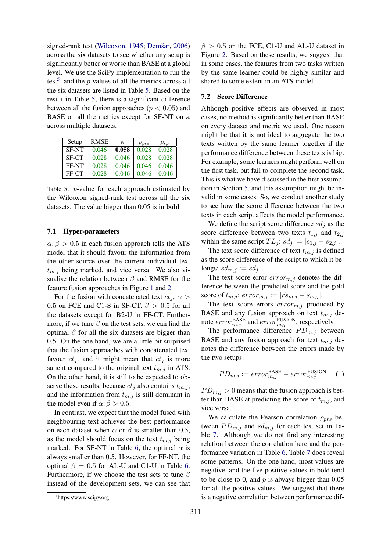signed-rank test (Wilcoxon, 1945; Demšar,  $2006$ ) across the six datasets to see whether any setup is significantly better or worse than BASE at a global level. We use the SciPy implementation to run the test<sup>5</sup>, and the  $p$ -values of all the metrics across all the six datasets are listed in Table 5. Based on the result in Table 5, there is a significant difference between all the fusion approaches ( $p < 0.05$ ) and BASE on all the metrics except for SF-NT on  $\kappa$ across multiple datasets.

| Setup        | RMSE  | $\kappa$ | $\rho_{prs}$ | $\rho_{spr}$ |
|--------------|-------|----------|--------------|--------------|
| <b>SF-NT</b> | 0.046 | 0.058    | 0.028        | 0.028        |
| <b>SF-CT</b> | 0.028 | 0.046    | 0.028        | 0.028        |
| FF-NT        | 0.028 | 0.046    | 0.046        | 0.046        |
| FF-CT        | 0.028 | 0.046    | 0.046        | 0.046        |

Table 5: p-value for each approach estimated by the Wilcoxon signed-rank test across all the six datasets. The value bigger than 0.05 is in bold

## 7.1 Hyper-parameters

 $\alpha$ ,  $\beta > 0.5$  in each fusion approach tells the ATS model that it should favour the information from the other source over the current individual text  $t_{m,i}$  being marked, and vice versa. We also visualise the relation between  $\beta$  and RMSE for the feature fusion approaches in Figure 1 and 2.

For the fusion with concatenated text  $ct_i$ ,  $\alpha$ 0.5 on FCE and C1-S in SF-CT.  $\beta > 0.5$  for all the datasets except for B2-U in FF-CT. Furthermore, if we tune  $\beta$  on the test sets, we can find the optimal  $\beta$  for all the six datasets are bigger than 0.5. On the one hand, we are a little bit surprised that the fusion approaches with concatenated text favour  $ct_i$ , and it might mean that  $ct_i$  is more salient compared to the original text  $t_{m,j}$  in ATS. On the other hand, it is still to be expected to observe these results, because  $ct_i$  also contains  $t_{m,i}$ , and the information from  $t_{m,j}$  is still dominant in the model even if  $\alpha, \beta > 0.5$ .

In contrast, we expect that the model fused with neighbouring text achieves the best performance on each dataset when  $\alpha$  or  $\beta$  is smaller than 0.5, as the model should focus on the text  $t_{m,j}$  being marked. For SF-NT in Table 6, the optimal  $\alpha$  is always smaller than 0.5. However, for FF-NT, the optimal  $\beta = 0.5$  for AL-U and C1-U in Table 6. Furthermore, if we choose the test sets to tune  $\beta$ instead of the development sets, we can see that

 $\beta > 0.5$  on the FCE, C1-U and AL-U dataset in Figure 2. Based on these results, we suggest that in some cases, the features from two tasks written by the same learner could be highly similar and shared to some extent in an ATS model.

## 7.2 Score Difference

Although positive effects are observed in most cases, no method is significantly better than BASE on every dataset and metric we used. One reason might be that it is not ideal to aggregate the two texts written by the same learner together if the performance difference between these texts is big. For example, some learners might perform well on the first task, but fail to complete the second task. This is what we have discussed in the first assumption in Section 5, and this assumption might be invalid in some cases. So, we conduct another study to see how the score difference between the two texts in each script affects the model performance.

We define the script score difference  $sd_j$  as the score difference between two texts  $t_{1,j}$  and  $t_{2,j}$ within the same script  $TL_j$ :  $sd_j := |s_{1,j} - s_{2,j}|$ .

The text score difference of text  $t_{m,j}$  is defined as the score difference of the script to which it belongs:  $sd_{m,j} := sd_j$ .

The text score error  $error_{m,j}$  denotes the difference between the predicted score and the gold score of  $t_{m,j}$ :  $error_{m,j} := |\hat{r} s_{m,j} - s_{m,j}|$ .

The text score errors  $error_{m,j}$  produced by BASE and any fusion approach on text  $t_{m,j}$  denote  $error_{m,j}^{\text{BASE}}$  and  $error_{m,j}^{\text{FUSION}}$ , respectively.

The performance difference  $PD_{m,j}$  between BASE and any fusion approach for text  $t_{m,j}$  denotes the difference between the errors made by the two setups:

$$
PD_{m,j} := error_{m,j}^{\text{BASE}} - error_{m,j}^{\text{FUSION}} \quad (1)
$$

 $PD_{m,j} > 0$  means that the fusion approach is better than BASE at predicting the score of  $t_{m,j}$ , and vice versa.

We calculate the Pearson correlation  $\rho_{prs}$  between  $PD_{m,j}$  and  $sd_{m,j}$  for each test set in Table 7. Although we do not find any interesting relation between the correlation here and the performance variation in Table 6, Table 7 does reveal some patterns. On the one hand, most values are negative, and the five positive values in bold tend to be close to 0, and  $p$  is always bigger than  $0.05$ for all the positive values. We suggest that there is a negative correlation between performance dif-

<sup>5</sup> https://www.scipy.org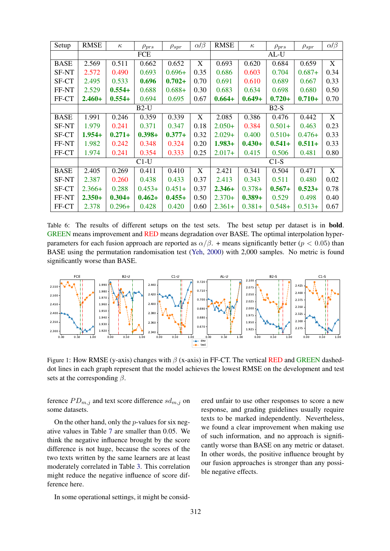| Setup        | <b>RMSE</b> | $\kappa$  | $\rho_{prs}$ | $\rho_{spr}$ | $\alpha$ / $\beta$ | <b>RMSE</b> | $\kappa$  | $\rho_{prs}$ | $\rho_{spr}$ | $\alpha/\beta$ |
|--------------|-------------|-----------|--------------|--------------|--------------------|-------------|-----------|--------------|--------------|----------------|
|              | <b>FCE</b>  |           |              |              | $AL-U$             |             |           |              |              |                |
| <b>BASE</b>  | 2.569       | 0.511     | 0.662        | 0.652        | X                  | 0.693       | 0.620     | 0.684        | 0.659        | X              |
| SF-NT        | 2.572       | 0.490     | 0.693        | $0.696+$     | 0.35               | 0.686       | 0.603     | 0.704        | $0.687+$     | 0.34           |
| SF-CT        | 2.495       | 0.533     | 0.696        | $0.702 +$    | 0.70               | 0.691       | 0.610     | 0.689        | 0.667        | 0.33           |
| FF-NT        | 2.529       | $0.554+$  | 0.688        | $0.688 +$    | 0.30               | 0.683       | 0.634     | 0.698        | 0.680        | 0.50           |
| FF-CT        | $2.460+$    | $0.554+$  | 0.694        | 0.695        | 0.67               | $0.664+$    | $0.649 +$ | $0.720 +$    | $0.710+$     | 0.70           |
|              |             |           | $B2-U$       |              |                    |             |           | $B2-S$       |              |                |
| <b>BASE</b>  | 1.991       | 0.246     | 0.359        | 0.339        | X                  | 2.085       | 0.386     | 0.476        | 0.442        | X              |
| <b>SF-NT</b> | 1.979       | 0.241     | 0.371        | 0.347        | 0.18               | $2.050+$    | 0.384     | $0.501+$     | 0.463        | 0.23           |
| SF-CT        | $1.954+$    | $0.271 +$ | $0.398 +$    | $0.377+$     | 0.32               | $2.029+$    | 0.400     | $0.510+$     | $0.476+$     | 0.33           |
| FF-NT        | 1.982       | 0.242     | 0.348        | 0.324        | 0.20               | $1.983+$    | $0.430+$  | $0.541 +$    | $0.511 +$    | 0.33           |
| FF-CT        | 1.974       | 0.241     | 0.354        | 0.333        | 0.25               | $2.017+$    | 0.415     | 0.506        | 0.481        | 0.80           |
|              |             |           | $C1-U$       |              |                    | $C1-S$      |           |              |              |                |
| <b>BASE</b>  | 2.405       | 0.269     | 0.411        | 0.410        | X                  | 2.421       | 0.341     | 0.504        | 0.471        | X              |
| SF-NT        | 2.387       | 0.260     | 0.438        | 0.433        | 0.37               | 2.413       | 0.343     | 0.511        | 0.480        | 0.02           |
| SF-CT        | $2.366+$    | 0.288     | $0.453+$     | $0.451+$     | 0.37               | $2.346+$    | $0.378+$  | $0.567+$     | $0.523+$     | 0.78           |
| FF-NT        | $2.350+$    | $0.304 +$ | $0.462 +$    | $0.455+$     | 0.50               | $2.370+$    | $0.389 +$ | 0.529        | 0.498        | 0.40           |
| FF-CT        | 2.378       | $0.296+$  | 0.428        | 0.420        | 0.60               | $2.361+$    | $0.381+$  | $0.548+$     | $0.513+$     | 0.67           |

Table 6: The results of different setups on the test sets. The best setup per dataset is in bold. GREEN means improvement and RED means degradation over BASE. The optimal interpolation hyperparameters for each fusion approach are reported as  $\alpha/\beta$ . + means significantly better ( $p < 0.05$ ) than BASE using the permutation randomisation test (Yeh, 2000) with 2,000 samples. No metric is found significantly worse than BASE.



Figure 1: How RMSE (y-axis) changes with  $\beta$  (x-axis) in FF-CT. The vertical RED and GREEN dasheddot lines in each graph represent that the model achieves the lowest RMSE on the development and test sets at the corresponding  $\beta$ .

ference  $PD_{m,j}$  and text score difference  $sd_{m,j}$  on some datasets.

On the other hand, only the  $p$ -values for six negative values in Table 7 are smaller than 0.05. We think the negative influence brought by the score difference is not huge, because the scores of the two texts written by the same learners are at least moderately correlated in Table 3. This correlation might reduce the negative influence of score difference here.

ered unfair to use other responses to score a new response, and grading guidelines usually require texts to be marked independently. Nevertheless, we found a clear improvement when making use of such information, and no approach is significantly worse than BASE on any metric or dataset. In other words, the positive influence brought by our fusion approaches is stronger than any possible negative effects.

In some operational settings, it might be consid-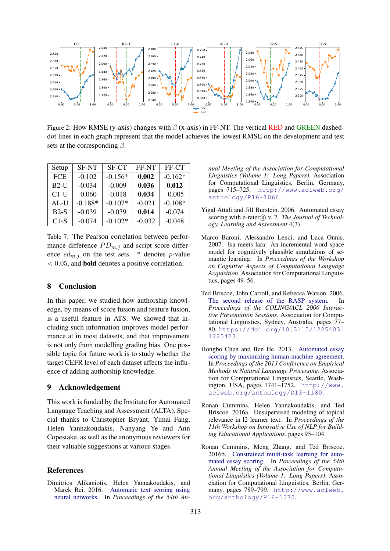

Figure 2: How RMSE (y-axis) changes with  $\beta$  (x-axis) in FF-NT. The vertical RED and GREEN dasheddot lines in each graph represent that the model achieves the lowest RMSE on the development and test sets at the corresponding  $\beta$ .

| Setup      | <b>SF-NT</b> | <b>SF-CT</b> | FF-NT    | FF-CT     |
|------------|--------------|--------------|----------|-----------|
| <b>FCE</b> | $-0.102$     | $-0.156*$    | 0.002    | $-0.162*$ |
| $B2-U$     | $-0.034$     | $-0.009$     | 0.036    | 0.012     |
| $C1-U$     | $-0.060$     | $-0.018$     | 0.034    | $-0.005$  |
| $AL-U$     | $-0.188*$    | $-0.107*$    | $-0.021$ | $-0.108*$ |
| $B2-S$     | $-0.039$     | $-0.039$     | 0.014    | $-0.074$  |
| $C1-S$     | $-0.074$     | $-0.102*$    | $-0.032$ | $-0.048$  |

Table 7: The Pearson correlation between performance difference  $PD_{m,j}$  and script score difference  $sd_{m,j}$  on the test sets. \* denotes p-value < 0.05, and bold denotes a positive correlation.

## 8 Conclusion

In this paper, we studied how authorship knowledge, by means of score fusion and feature fusion, is a useful feature in ATS. We showed that including such information improves model performance at in most datasets, and that improvement is not only from modelling grading bias. One possible topic for future work is to study whether the target CEFR level of each dataset affects the influence of adding authorship knowledge.

## 9 Acknowledgement

This work is funded by the Institute for Automated Language Teaching and Assessment (ALTA). Special thanks to Christopher Bryant, Yimai Fang, Helen Yannakoudakis, Nanyang Ye and Ann Copestake, as well as the anonymous reviewers for their valuable suggestions at various stages.

## References

Dimitrios Alikaniotis, Helen Yannakoudakis, and Marek Rei. 2016. Automatic text scoring using neural networks. In *Proceedings of the 54th An-* *nual Meeting of the Association for Computational Linguistics (Volume 1: Long Papers)*. Association for Computational Linguistics, Berlin, Germany, pages 715–725. http://www.aclweb.org/ anthology/P16-1068.

- Yigal Attali and Jill Burstein. 2006. Automated essay scoring with e-rater® v. 2. *The Journal of Technology, Learning and Assessment* 4(3).
- Marco Baroni, Alessandro Lenci, and Luca Onnis. 2007. Isa meets lara: An incremental word space model for cognitively plausible simulations of semantic learning. In *Proceedings of the Workshop on Cognitive Aspects of Computational Language Acquisition*. Association for Computational Linguistics, pages 49–56.
- Ted Briscoe, John Carroll, and Rebecca Watson. 2006. The second release of the RASP system. In *Proceedings of the COLING/ACL 2006 Interactive Presentation Sessions*. Association for Computational Linguistics, Sydney, Australia, pages 77– 80. https://doi.org/10.3115/1225403. 1225423.
- Hongbo Chen and Ben He. 2013. Automated essay scoring by maximizing human-machine agreement. In *Proceedings of the 2013 Conference on Empirical Methods in Natural Language Processing*. Association for Computational Linguistics, Seattle, Washington, USA, pages 1741–1752. http://www. aclweb.org/anthology/D13-1180.
- Ronan Cummins, Helen Yannakoudakis, and Ted Briscoe. 2016a. Unsupervised modeling of topical relevance in l2 learner text. In *Proceedings of the 11th Workshop on Innovative Use of NLP for Building Educational Applications*. pages 95–104.
- Ronan Cummins, Meng Zhang, and Ted Briscoe. 2016b. Constrained multi-task learning for automated essay scoring. In *Proceedings of the 54th Annual Meeting of the Association for Computational Linguistics (Volume 1: Long Papers)*. Association for Computational Linguistics, Berlin, Germany, pages 789–799. http://www.aclweb. org/anthology/P16-1075.